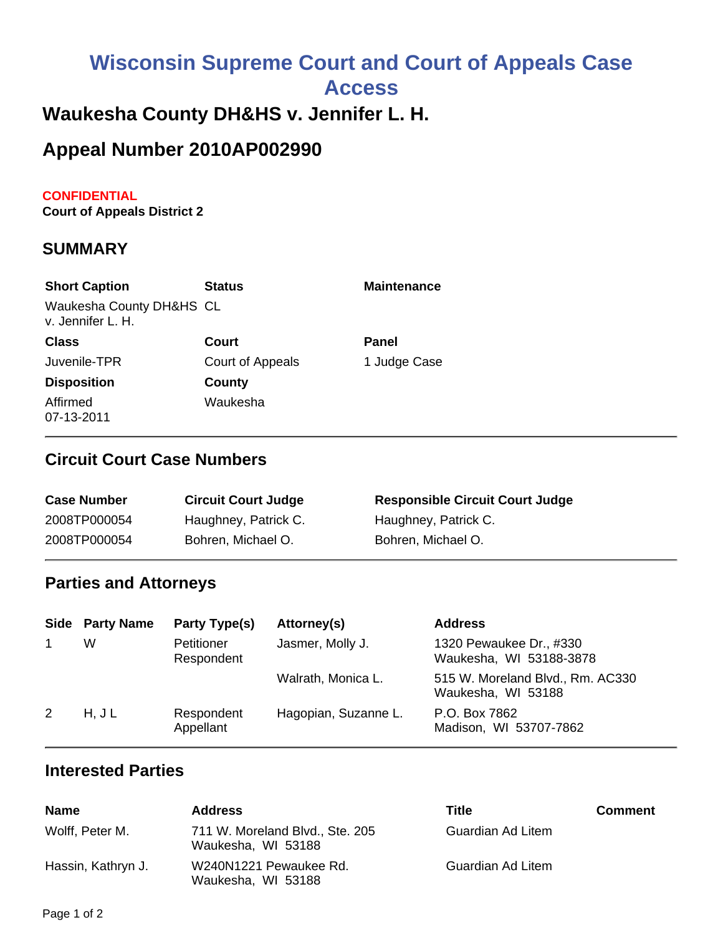# **Wisconsin Supreme Court and Court of Appeals Case Access**

## **Waukesha County DH&HS v. Jennifer L. H.**

# **Appeal Number 2010AP002990**

#### **CONFIDENTIAL**

**Court of Appeals District 2**

#### **SUMMARY**

| <b>Short Caption</b>                          | <b>Status</b>    | <b>Maintenance</b> |
|-----------------------------------------------|------------------|--------------------|
| Waukesha County DH&HS CL<br>v. Jennifer L. H. |                  |                    |
| <b>Class</b>                                  | Court            | Panel              |
| Juvenile-TPR                                  | Court of Appeals | 1 Judge Case       |
| <b>Disposition</b>                            | County           |                    |
| Affirmed<br>07-13-2011                        | Waukesha         |                    |

#### **Circuit Court Case Numbers**

| <b>Case Number</b> | <b>Circuit Court Judge</b> | <b>Responsible Circuit Court Judge</b> |
|--------------------|----------------------------|----------------------------------------|
| 2008TP000054       | Haughney, Patrick C.       | Haughney, Patrick C.                   |
| 2008TP000054       | Bohren, Michael O.         | Bohren, Michael O.                     |

#### **Parties and Attorneys**

|   | <b>Side Party Name</b> | Party Type(s)            | Attorney(s)          | <b>Address</b>                                         |
|---|------------------------|--------------------------|----------------------|--------------------------------------------------------|
|   | W                      | Petitioner<br>Respondent | Jasmer, Molly J.     | 1320 Pewaukee Dr., #330<br>Waukesha, WI 53188-3878     |
|   |                        |                          | Walrath, Monica L.   | 515 W. Moreland Blvd., Rm. AC330<br>Waukesha, WI 53188 |
| 2 | H, J L                 | Respondent<br>Appellant  | Hagopian, Suzanne L. | P.O. Box 7862<br>Madison, WI 53707-7862                |

#### **Interested Parties**

| <b>Name</b>        | <b>Address</b>                                        | Title             | <b>Comment</b> |
|--------------------|-------------------------------------------------------|-------------------|----------------|
| Wolff, Peter M.    | 711 W. Moreland Blvd., Ste. 205<br>Waukesha, WI 53188 | Guardian Ad Litem |                |
| Hassin, Kathryn J. | W240N1221 Pewaukee Rd.<br>Waukesha, WI 53188          | Guardian Ad Litem |                |